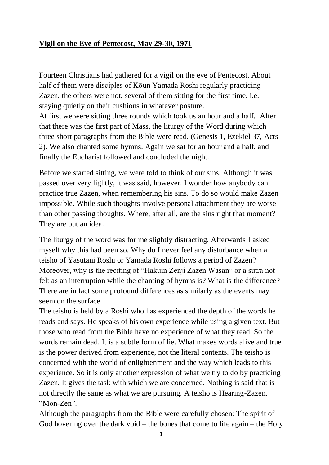## **Vigil on the Eve of Pentecost, May 29-30, 1971**

Fourteen Christians had gathered for a vigil on the eve of Pentecost. About half of them were disciples of Kōun Yamada Roshi regularly practicing Zazen, the others were not, several of them sitting for the first time, i.e. staying quietly on their cushions in whatever posture. At first we were sitting three rounds which took us an hour and a half. After that there was the first part of Mass, the liturgy of the Word during which three short paragraphs from the Bible were read. (Genesis 1, Ezekiel 37, Acts 2). We also chanted some hymns. Again we sat for an hour and a half, and finally the Eucharist followed and concluded the night.

Before we started sitting, we were told to think of our sins. Although it was passed over very lightly, it was said, however. I wonder how anybody can practice true Zazen, when remembering his sins. To do so would make Zazen impossible. While such thoughts involve personal attachment they are worse than other passing thoughts. Where, after all, are the sins right that moment? They are but an idea.

The liturgy of the word was for me slightly distracting. Afterwards I asked myself why this had been so. Why do I never feel any disturbance when a teisho of Yasutani Roshi or Yamada Roshi follows a period of Zazen? Moreover, why is the reciting of "Hakuin Zenji Zazen Wasan" or a sutra not felt as an interruption while the chanting of hymns is? What is the difference? There are in fact some profound differences as similarly as the events may seem on the surface.

The teisho is held by a Roshi who has experienced the depth of the words he reads and says. He speaks of his own experience while using a given text. But those who read from the Bible have no experience of what they read. So the words remain dead. It is a subtle form of lie. What makes words alive and true is the power derived from experience, not the literal contents. The teisho is concerned with the world of enlightenment and the way which leads to this experience. So it is only another expression of what we try to do by practicing Zazen. It gives the task with which we are concerned. Nothing is said that is not directly the same as what we are pursuing. A teisho is Hearing-Zazen, "Mon-Zen".

Although the paragraphs from the Bible were carefully chosen: The spirit of God hovering over the dark void – the bones that come to life again – the Holy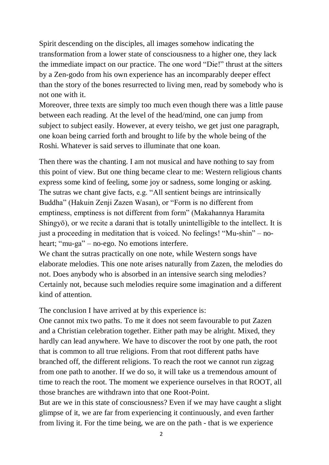Spirit descending on the disciples, all images somehow indicating the transformation from a lower state of consciousness to a higher one, they lack the immediate impact on our practice. The one word "Die!" thrust at the sitters by a Zen-godo from his own experience has an incomparably deeper effect than the story of the bones resurrected to living men, read by somebody who is not one with it.

Moreover, three texts are simply too much even though there was a little pause between each reading. At the level of the head/mind, one can jump from subject to subject easily. However, at every teisho, we get just one paragraph, one koan being carried forth and brought to life by the whole being of the Roshi. Whatever is said serves to illuminate that one koan.

Then there was the chanting. I am not musical and have nothing to say from this point of view. But one thing became clear to me: Western religious chants express some kind of feeling, some joy or sadness, some longing or asking. The sutras we chant give facts, e.g. "All sentient beings are intrinsically Buddha" (Hakuin Zenji Zazen Wasan), or "Form is no different from emptiness, emptiness is not different from form" (Makahannya Haramita Shingyō), or we recite a darani that is totally unintelligible to the intellect. It is just a proceeding in meditation that is voiced. No feelings! "Mu-shin" – noheart; "mu-ga" – no-ego. No emotions interfere.

We chant the sutras practically on one note, while Western songs have elaborate melodies. This one note arises naturally from Zazen, the melodies do not. Does anybody who is absorbed in an intensive search sing melodies? Certainly not, because such melodies require some imagination and a different kind of attention.

The conclusion I have arrived at by this experience is:

One cannot mix two paths. To me it does not seem favourable to put Zazen and a Christian celebration together. Either path may be alright. Mixed, they hardly can lead anywhere. We have to discover the root by one path, the root that is common to all true religions. From that root different paths have branched off, the different religions. To reach the root we cannot run zigzag from one path to another. If we do so, it will take us a tremendous amount of time to reach the root. The moment we experience ourselves in that ROOT, all those branches are withdrawn into that one Root-Point.

But are we in this state of consciousness? Even if we may have caught a slight glimpse of it, we are far from experiencing it continuously, and even farther from living it. For the time being, we are on the path - that is we experience